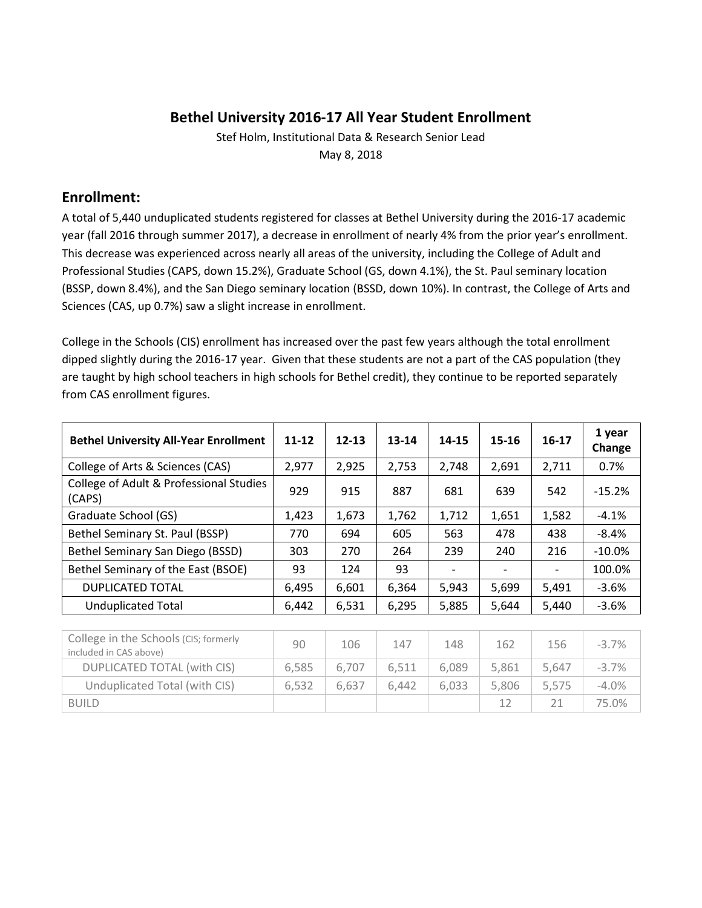#### **Bethel University 2016-17 All Year Student Enrollment**

Stef Holm, Institutional Data & Research Senior Lead May 8, 2018

#### **Enrollment:**

A total of 5,440 unduplicated students registered for classes at Bethel University during the 2016-17 academic year (fall 2016 through summer 2017), a decrease in enrollment of nearly 4% from the prior year's enrollment. This decrease was experienced across nearly all areas of the university, including the College of Adult and Professional Studies (CAPS, down 15.2%), Graduate School (GS, down 4.1%), the St. Paul seminary location (BSSP, down 8.4%), and the San Diego seminary location (BSSD, down 10%). In contrast, the College of Arts and Sciences (CAS, up 0.7%) saw a slight increase in enrollment.

College in the Schools (CIS) enrollment has increased over the past few years although the total enrollment dipped slightly during the 2016-17 year. Given that these students are not a part of the CAS population (they are taught by high school teachers in high schools for Bethel credit), they continue to be reported separately from CAS enrollment figures.

| <b>Bethel University All-Year Enrollment</b>      | $11 - 12$ | $12 - 13$ | 13-14 | 14-15 | $15 - 16$ | $16 - 17$ | 1 year<br>Change |
|---------------------------------------------------|-----------|-----------|-------|-------|-----------|-----------|------------------|
| College of Arts & Sciences (CAS)                  | 2,977     | 2,925     | 2,753 | 2,748 | 2,691     | 2,711     | 0.7%             |
| College of Adult & Professional Studies<br>(CAPS) | 929       | 915       | 887   | 681   | 639       | 542       | $-15.2%$         |
| Graduate School (GS)                              | 1,423     | 1,673     | 1,762 | 1,712 | 1,651     | 1,582     | $-4.1%$          |
| Bethel Seminary St. Paul (BSSP)                   | 770       | 694       | 605   | 563   | 478       | 438       | $-8.4\%$         |
| Bethel Seminary San Diego (BSSD)                  | 303       | 270       | 264   | 239   | 240       | 216       | $-10.0%$         |
| Bethel Seminary of the East (BSOE)                | 93        | 124       | 93    |       |           |           | 100.0%           |
| <b>DUPLICATED TOTAL</b>                           | 6,495     | 6,601     | 6,364 | 5,943 | 5.699     | 5,491     | $-3.6%$          |
| <b>Unduplicated Total</b>                         | 6,442     | 6,531     | 6,295 | 5,885 | 5,644     | 5,440     | $-3.6%$          |

| College in the Schools (CIS; formerly<br>included in CAS above) | 90    | 106   | 147   | 148   | 162   | 156   | $-3.7%$ |
|-----------------------------------------------------------------|-------|-------|-------|-------|-------|-------|---------|
| DUPLICATED TOTAL (with CIS)                                     | 6.585 | 6.707 | 6.511 | 6.089 | 5.861 | 5.647 | $-3.7%$ |
| Unduplicated Total (with CIS)                                   | 6.532 | 6.637 | 6.442 | 6.033 | 5.806 | 5.575 | $-4.0%$ |
| <b>BUILD</b>                                                    |       |       |       |       |       |       | 75.0%   |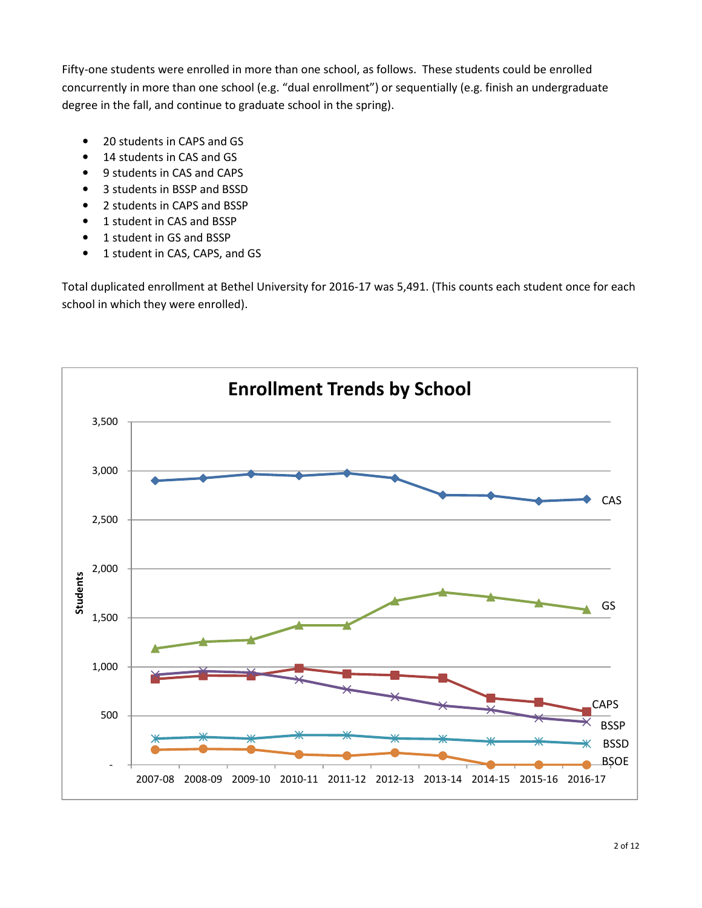Fifty-one students were enrolled in more than one school, as follows. These students could be enrolled concurrently in more than one school (e.g. "dual enrollment") or sequentially (e.g. finish an undergraduate degree in the fall, and continue to graduate school in the spring).

- 20 students in CAPS and GS
- 14 students in CAS and GS
- 9 students in CAS and CAPS
- 3 students in BSSP and BSSD
- 2 students in CAPS and BSSP
- 1 student in CAS and BSSP
- 1 student in GS and BSSP
- 1 student in CAS, CAPS, and GS

Total duplicated enrollment at Bethel University for 2016-17 was 5,491. (This counts each student once for each school in which they were enrolled).

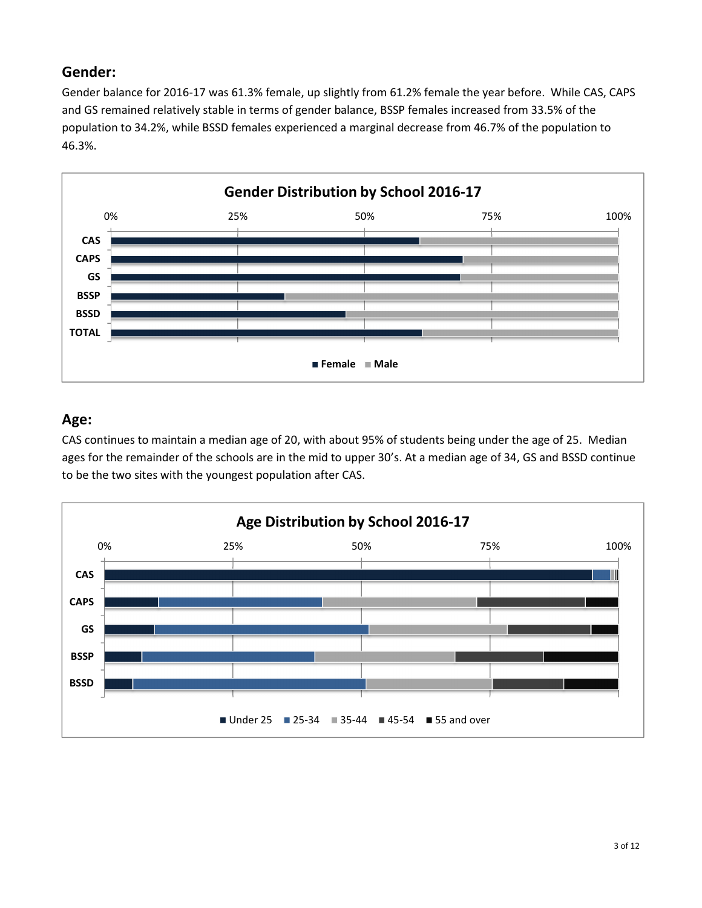#### **Gender:**

Gender balance for 2016-17 was 61.3% female, up slightly from 61.2% female the year before. While CAS, CAPS and GS remained relatively stable in terms of gender balance, BSSP females increased from 33.5% of the population to 34.2%, while BSSD females experienced a marginal decrease from 46.7% of the population to 46.3%.



# **Age:**

CAS continues to maintain a median age of 20, with about 95% of students being under the age of 25. Median ages for the remainder of the schools are in the mid to upper 30's. At a median age of 34, GS and BSSD continue to be the two sites with the youngest population after CAS.

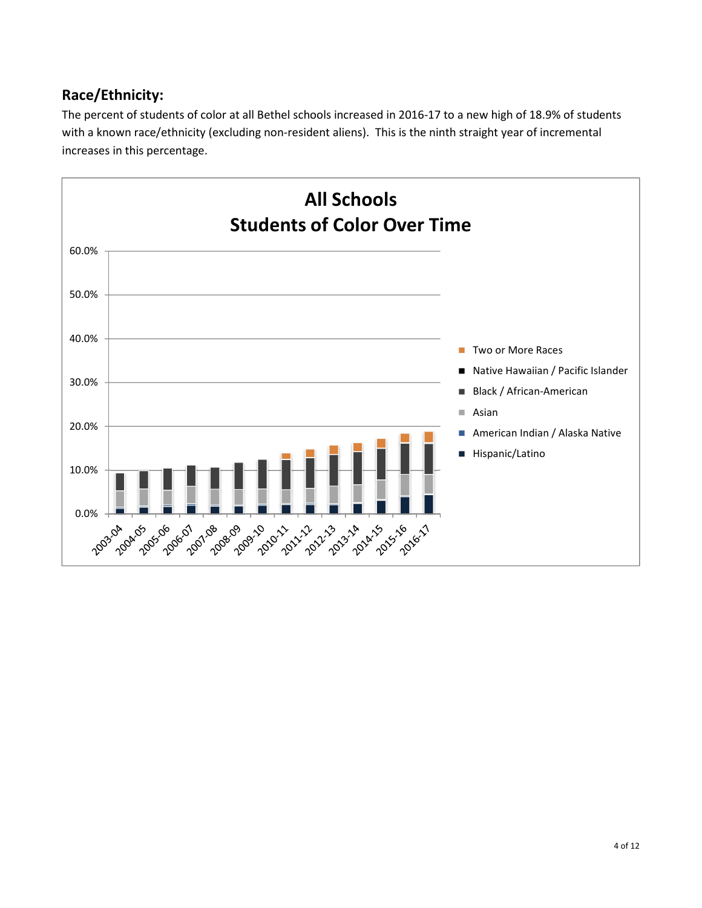# **Race/Ethnicity:**

The percent of students of color at all Bethel schools increased in 2016-17 to a new high of 18.9% of students with a known race/ethnicity (excluding non-resident aliens). This is the ninth straight year of incremental increases in this percentage.

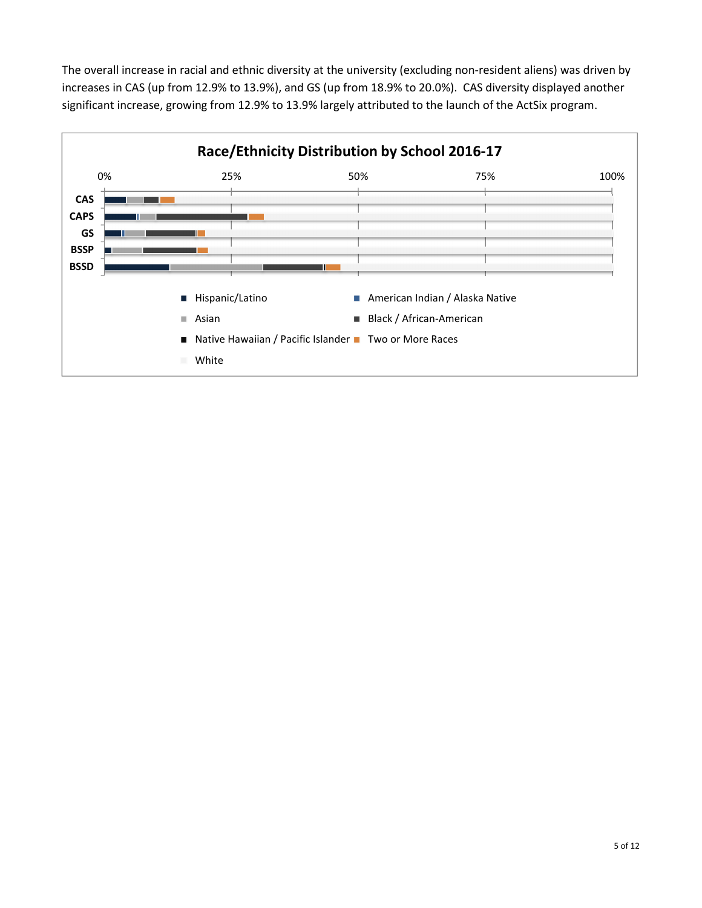The overall increase in racial and ethnic diversity at the university (excluding non-resident aliens) was driven by increases in CAS (up from 12.9% to 13.9%), and GS (up from 18.9% to 20.0%). CAS diversity displayed another significant increase, growing from 12.9% to 13.9% largely attributed to the launch of the ActSix program.

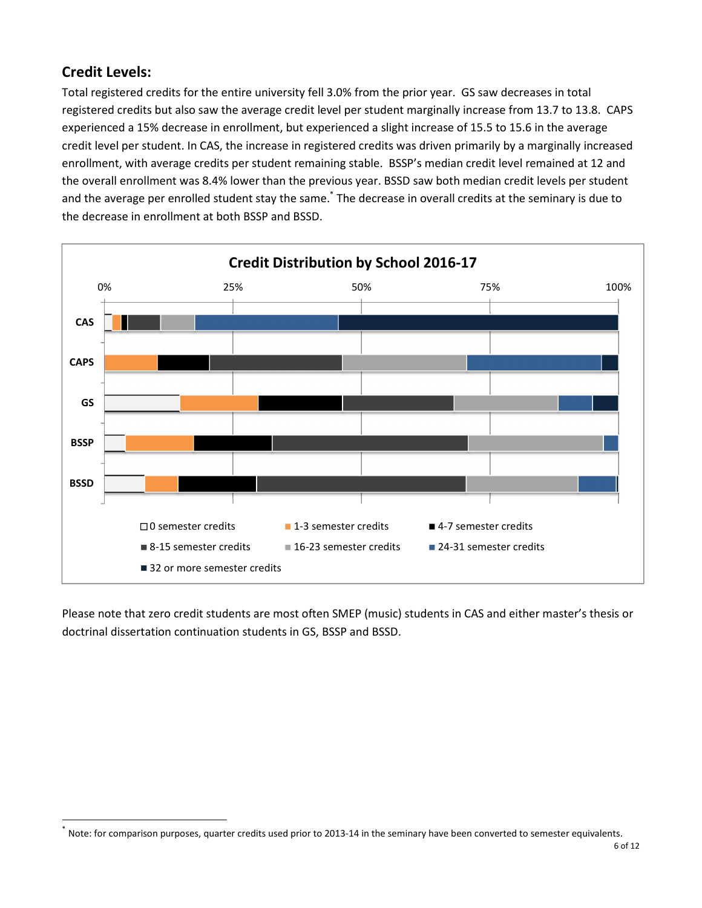## **Credit Levels:**

 $\overline{a}$ 

Total registered credits for the entire university fell 3.0% from the prior year. GS saw decreases in total registered credits but also saw the average credit level per student marginally increase from 13.7 to 13.8. CAPS experienced a 15% decrease in enrollment, but experienced a slight increase of 15.5 to 15.6 in the average credit level per student. In CAS, the increase in registered credits was driven primarily by a marginally increased enrollment, with average credits per student remaining stable. BSSP's median credit level remained at 12 and the overall enrollment was 8.4% lower than the previous year. BSSD saw both median credit levels per student and the average per enrolled student stay the same.<sup>\*</sup> The decrease in overall credits at the seminary is due to the decrease in enrollment at both BSSP and BSSD.



Please note that zero credit students are most often SMEP (music) students in CAS and either master's thesis or doctrinal dissertation continuation students in GS, BSSP and BSSD.

<sup>\*</sup> Note: for comparison purposes, quarter credits used prior to 2013-14 in the seminary have been converted to semester equivalents.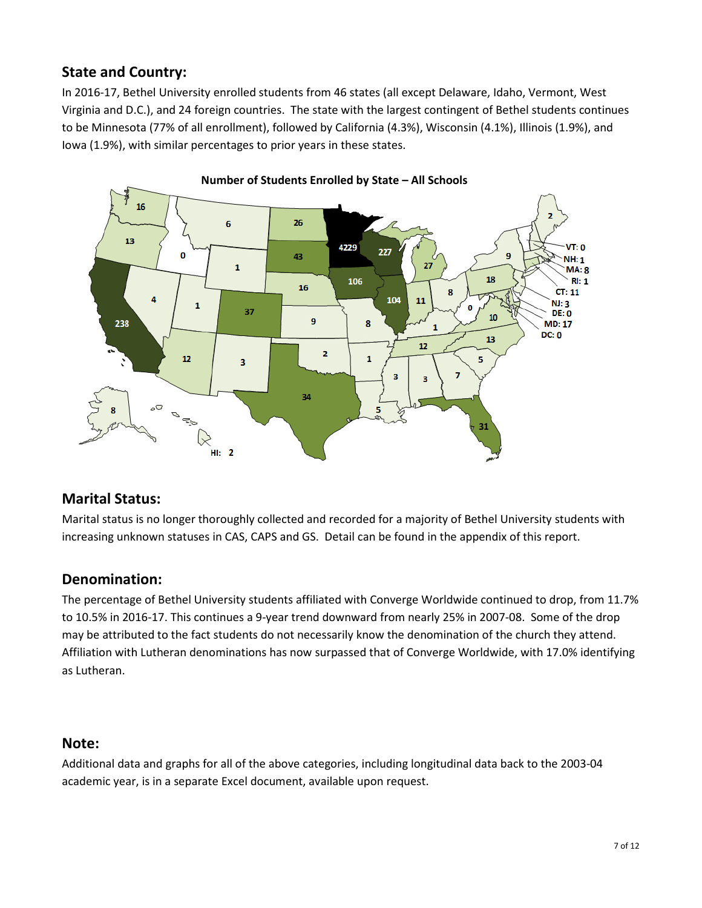## **State and Country:**

In 2016-17, Bethel University enrolled students from 46 states (all except Delaware, Idaho, Vermont, West Virginia and D.C.), and 24 foreign countries. The state with the largest contingent of Bethel students continues to be Minnesota (77% of all enrollment), followed by California (4.3%), Wisconsin (4.1%), Illinois (1.9%), and Iowa (1.9%), with similar percentages to prior years in these states.



#### **Number of Students Enrolled by State – All Schools**

#### **Marital Status:**

Marital status is no longer thoroughly collected and recorded for a majority of Bethel University students with increasing unknown statuses in CAS, CAPS and GS. Detail can be found in the appendix of this report.

#### **Denomination:**

The percentage of Bethel University students affiliated with Converge Worldwide continued to drop, from 11.7% to 10.5% in 2016-17. This continues a 9-year trend downward from nearly 25% in 2007-08. Some of the drop may be attributed to the fact students do not necessarily know the denomination of the church they attend. Affiliation with Lutheran denominations has now surpassed that of Converge Worldwide, with 17.0% identifying as Lutheran.

#### **Note:**

Additional data and graphs for all of the above categories, including longitudinal data back to the 2003-04 academic year, is in a separate Excel document, available upon request.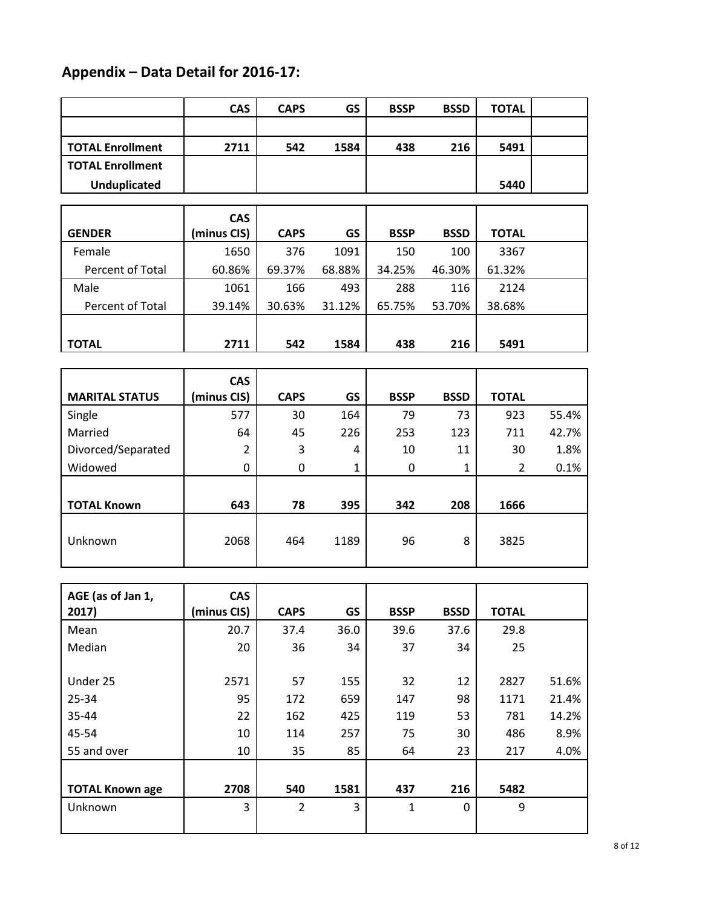# **Appendix – Data Detail for 2016-17:**

|                         | <b>CAS</b>  | <b>CAPS</b> | GS        | <b>BSSP</b> | <b>BSSD</b> | <b>TOTAL</b> |       |
|-------------------------|-------------|-------------|-----------|-------------|-------------|--------------|-------|
|                         |             |             |           |             |             |              |       |
| <b>TOTAL Enrollment</b> | 2711        | 542         | 1584      | 438         | 216         | 5491         |       |
| <b>TOTAL Enrollment</b> |             |             |           |             |             |              |       |
| <b>Unduplicated</b>     |             |             |           |             |             | 5440         |       |
|                         |             |             |           |             |             |              |       |
|                         | <b>CAS</b>  |             |           |             |             |              |       |
| <b>GENDER</b>           | (minus CIS) | <b>CAPS</b> | <b>GS</b> | <b>BSSP</b> | <b>BSSD</b> | <b>TOTAL</b> |       |
| Female                  | 1650        | 376         | 1091      | 150         | 100         | 3367         |       |
| Percent of Total        | 60.86%      | 69.37%      | 68.88%    | 34.25%      | 46.30%      | 61.32%       |       |
| Male                    | 1061        | 166         | 493       | 288         | 116         | 2124         |       |
| Percent of Total        | 39.14%      | 30.63%      | 31.12%    | 65.75%      | 53.70%      | 38.68%       |       |
|                         |             |             |           |             |             |              |       |
| <b>TOTAL</b>            | 2711        | 542         | 1584      | 438         | 216         | 5491         |       |
|                         |             |             |           |             |             |              |       |
|                         | <b>CAS</b>  |             |           |             |             |              |       |
| <b>MARITAL STATUS</b>   | (minus CIS) | <b>CAPS</b> | <b>GS</b> | <b>BSSP</b> | <b>BSSD</b> | <b>TOTAL</b> |       |
| Single                  | 577         | 30          | 164       | 79          | 73          | 923          | 55.4% |
| Married                 | 64          | 45          | 226       | 253         | 123         | 711          | 42.7% |
| Divorced/Separated      | 2           | 3           | 4         | 10          | 11          | 30           | 1.8%  |
| Widowed                 | 0           | 0           | 1         | 0           | 1           | 2            | 0.1%  |
|                         |             |             |           |             |             |              |       |
| <b>TOTAL Known</b>      | 643         | 78          | 395       | 342         | 208         | 1666         |       |
|                         |             |             |           |             |             |              |       |
| Unknown                 | 2068        | 464         | 1189      | 96          | 8           | 3825         |       |
|                         |             |             |           |             |             |              |       |
|                         |             |             |           |             |             |              |       |
| AGE (as of Jan 1,       | <b>CAS</b>  |             |           |             |             |              |       |
| 2017)                   | (minus CIS) | <b>CAPS</b> | GS        | <b>BSSP</b> | <b>BSSD</b> | <b>TOTAL</b> |       |
| Mean                    | 20.7        | 37.4        | 36.0      | 39.6        | 37.6        | 29.8         |       |
| Median                  | 20          | 36          | 34        | 37          | 34          | 25           |       |
|                         |             |             |           |             |             |              |       |
| Under 25                | 2571        | 57          | 155       | 32          | 12          | 2827         | 51.6% |
| 25-34                   | 95          | 172         | 659       | 147         | 98          | 1171         | 21.4% |
| 35-44                   | 22          | 162         | 425       | 119         | 53          | 781          | 14.2% |
| 45-54                   | 10          | 114         | 257       | 75          | 30          | 486          | 8.9%  |
| 55 and over             | $10\,$      | 35          | 85        | 64          | 23          | 217          | 4.0%  |

**TOTAL Known age 2708 540 1581 437 216 5482**  Unknown 3 3 2 3 1 0 9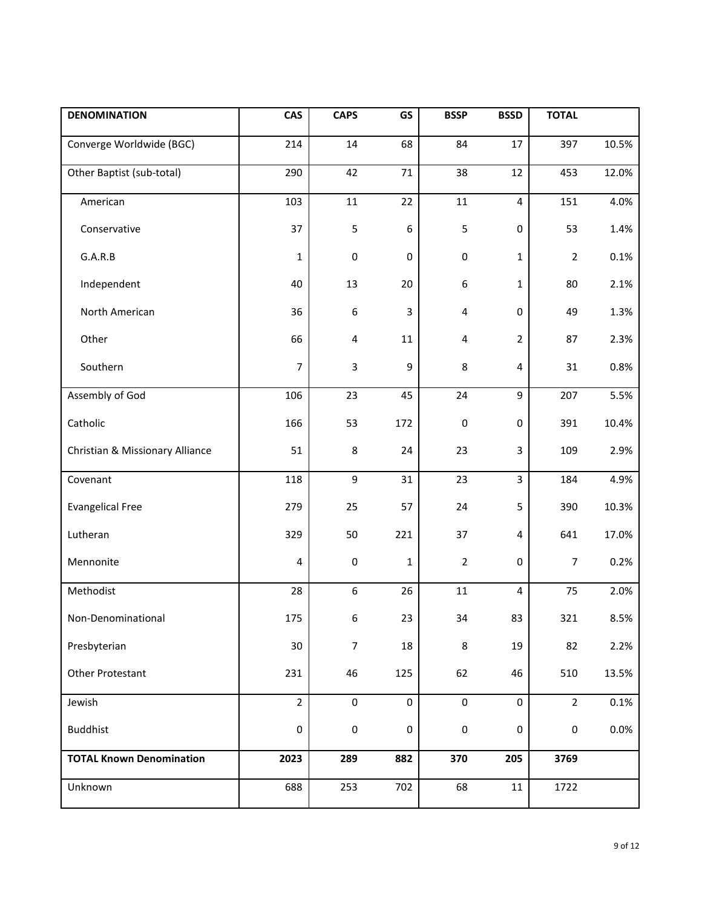| <b>DENOMINATION</b>             | <b>CAS</b>     | <b>CAPS</b>             | GS          | <b>BSSP</b>             | <b>BSSD</b>             | <b>TOTAL</b>   |       |
|---------------------------------|----------------|-------------------------|-------------|-------------------------|-------------------------|----------------|-------|
| Converge Worldwide (BGC)        | 214            | 14                      | 68          | 84                      | 17                      | 397            | 10.5% |
| Other Baptist (sub-total)       | 290            | 42                      | $71\,$      | 38                      | 12                      | 453            | 12.0% |
| American                        | 103            | $11\,$                  | 22          | 11                      | $\overline{\mathbf{4}}$ | 151            | 4.0%  |
| Conservative                    | 37             | $\mathsf S$             | 6           | 5                       | $\pmb{0}$               | 53             | 1.4%  |
| G.A.R.B                         | 1              | $\pmb{0}$               | $\pmb{0}$   | $\pmb{0}$               | $\mathbf 1$             | $\overline{2}$ | 0.1%  |
| Independent                     | 40             | 13                      | $20\,$      | $\boldsymbol{6}$        | $\mathbf{1}$            | 80             | 2.1%  |
| North American                  | 36             | 6                       | 3           | $\overline{\mathbf{4}}$ | $\pmb{0}$               | 49             | 1.3%  |
| Other                           | 66             | $\overline{\mathbf{4}}$ | 11          | $\overline{\mathbf{4}}$ | $\overline{2}$          | 87             | 2.3%  |
| Southern                        | $\overline{7}$ | $\mathbf{3}$            | 9           | 8                       | $\overline{\mathbf{4}}$ | 31             | 0.8%  |
| Assembly of God                 | 106            | 23                      | 45          | 24                      | 9                       | 207            | 5.5%  |
| Catholic                        | 166            | 53                      | 172         | $\pmb{0}$               | $\pmb{0}$               | 391            | 10.4% |
| Christian & Missionary Alliance | 51             | $\,8\,$                 | 24          | 23                      | 3                       | 109            | 2.9%  |
| Covenant                        | 118            | 9                       | 31          | 23                      | 3                       | 184            | 4.9%  |
| <b>Evangelical Free</b>         | 279            | 25                      | 57          | 24                      | 5                       | 390            | 10.3% |
| Lutheran                        | 329            | 50                      | 221         | 37                      | 4                       | 641            | 17.0% |
| Mennonite                       | 4              | $\pmb{0}$               | $\mathbf 1$ | $\overline{2}$          | $\pmb{0}$               | $\overline{7}$ | 0.2%  |
| Methodist                       | 28             | $\boldsymbol{6}$        | 26          | 11                      | 4                       | 75             | 2.0%  |
| Non-Denominational              | 175            | 6                       | 23          | 34                      | 83                      | 321            | 8.5%  |
| Presbyterian                    | $30\,$         | $\boldsymbol{7}$        | $18\,$      | $\bf 8$                 | 19                      | 82             | 2.2%  |
| Other Protestant                | 231            | 46                      | 125         | 62                      | 46                      | 510            | 13.5% |
| Jewish                          | $\overline{2}$ | $\pmb{0}$               | $\pmb{0}$   | $\pmb{0}$               | $\mathbf 0$             | $\overline{2}$ | 0.1%  |
| <b>Buddhist</b>                 | 0              | $\pmb{0}$               | $\pmb{0}$   | $\pmb{0}$               | $\pmb{0}$               | $\pmb{0}$      | 0.0%  |
| <b>TOTAL Known Denomination</b> | 2023           | 289                     | 882         | 370                     | 205                     | 3769           |       |
| Unknown                         | 688            | 253                     | 702         | 68                      | 11                      | 1722           |       |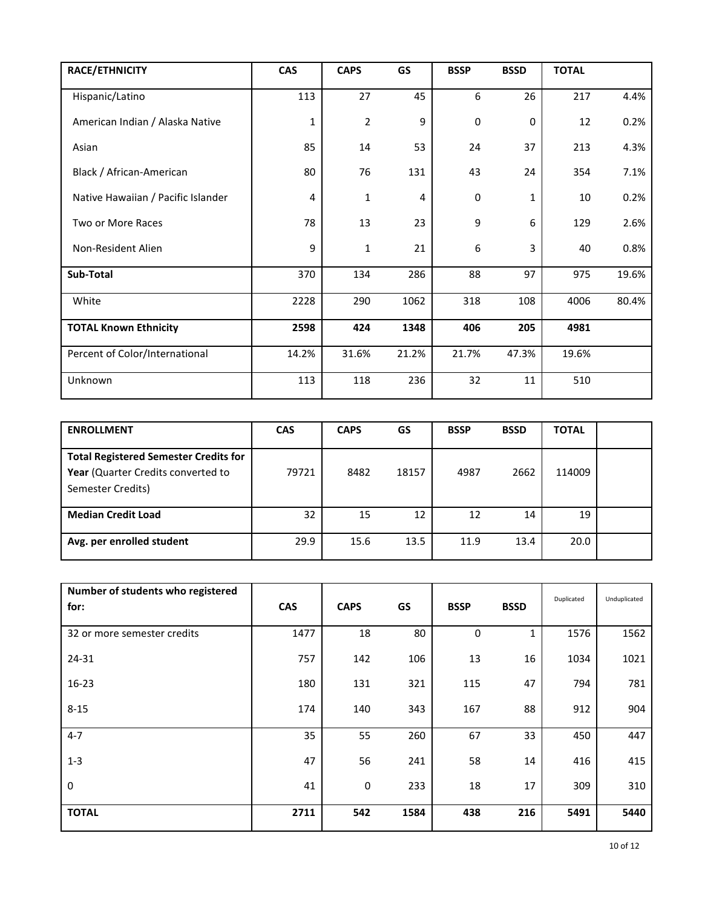| RACE/ETHNICITY                     | <b>CAS</b>   | <b>CAPS</b>    | GS    | <b>BSSP</b> | <b>BSSD</b>  | <b>TOTAL</b> |       |
|------------------------------------|--------------|----------------|-------|-------------|--------------|--------------|-------|
| Hispanic/Latino                    | 113          | 27             | 45    | 6           | 26           | 217          | 4.4%  |
| American Indian / Alaska Native    | $\mathbf{1}$ | $\overline{2}$ | 9     | 0           | 0            | 12           | 0.2%  |
| Asian                              | 85           | 14             | 53    | 24          | 37           | 213          | 4.3%  |
| Black / African-American           | 80           | 76             | 131   | 43          | 24           | 354          | 7.1%  |
| Native Hawaiian / Pacific Islander | 4            | $\mathbf{1}$   | 4     | 0           | $\mathbf{1}$ | 10           | 0.2%  |
| Two or More Races                  | 78           | 13             | 23    | 9           | 6            | 129          | 2.6%  |
| Non-Resident Alien                 | 9            | $\mathbf{1}$   | 21    | 6           | 3            | 40           | 0.8%  |
| Sub-Total                          | 370          | 134            | 286   | 88          | 97           | 975          | 19.6% |
| White                              | 2228         | 290            | 1062  | 318         | 108          | 4006         | 80.4% |
| <b>TOTAL Known Ethnicity</b>       | 2598         | 424            | 1348  | 406         | 205          | 4981         |       |
| Percent of Color/International     | 14.2%        | 31.6%          | 21.2% | 21.7%       | 47.3%        | 19.6%        |       |
| Unknown                            | 113          | 118            | 236   | 32          | 11           | 510          |       |

| <b>ENROLLMENT</b>                                                                                       | <b>CAS</b> | <b>CAPS</b> | GS    | <b>BSSP</b> | <b>BSSD</b> | TOTAL  |  |
|---------------------------------------------------------------------------------------------------------|------------|-------------|-------|-------------|-------------|--------|--|
| <b>Total Registered Semester Credits for</b><br>Year (Quarter Credits converted to<br>Semester Credits) | 79721      | 8482        | 18157 | 4987        | 2662        | 114009 |  |
| <b>Median Credit Load</b>                                                                               | 32         | 15          | 12    | 12          | 14          | 19     |  |
| Avg. per enrolled student                                                                               | 29.9       | 15.6        | 13.5  | 11.9        | 13.4        | 20.0   |  |

| Number of students who registered<br>for: | <b>CAS</b> | <b>CAPS</b> | GS   | <b>BSSP</b> | <b>BSSD</b> | Duplicated | Unduplicated |
|-------------------------------------------|------------|-------------|------|-------------|-------------|------------|--------------|
| 32 or more semester credits               | 1477       | 18          | 80   | 0           | 1           | 1576       | 1562         |
| 24-31                                     | 757        | 142         | 106  | 13          | 16          | 1034       | 1021         |
| $16 - 23$                                 | 180        | 131         | 321  | 115         | 47          | 794        | 781          |
| $8 - 15$                                  | 174        | 140         | 343  | 167         | 88          | 912        | 904          |
| $4 - 7$                                   | 35         | 55          | 260  | 67          | 33          | 450        | 447          |
| $1-3$                                     | 47         | 56          | 241  | 58          | 14          | 416        | 415          |
| $\boldsymbol{0}$                          | 41         | 0           | 233  | 18          | 17          | 309        | 310          |
| <b>TOTAL</b>                              | 2711       | 542         | 1584 | 438         | 216         | 5491       | 5440         |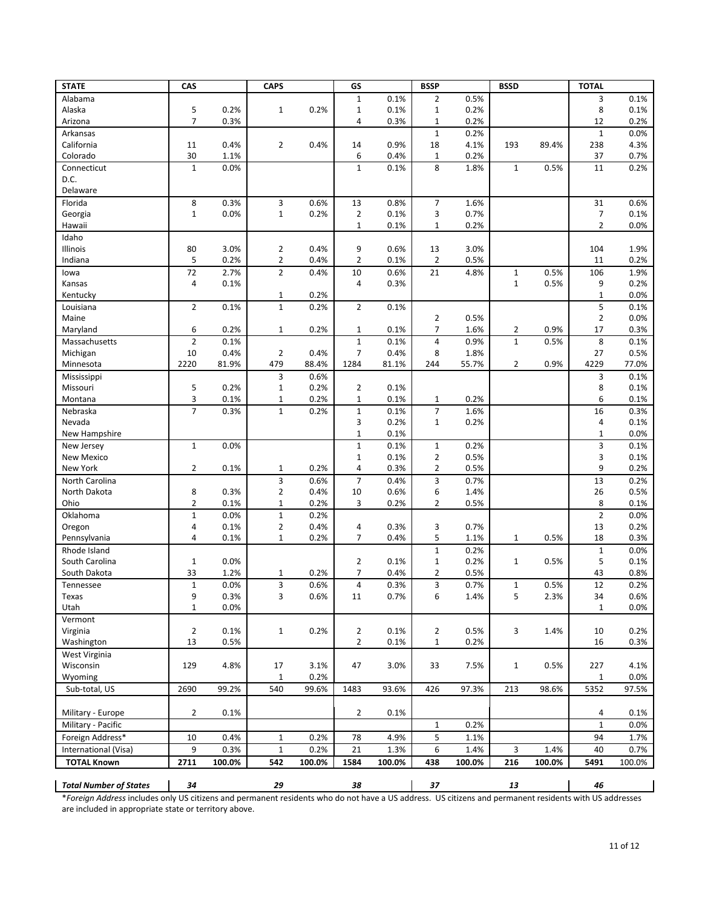| <b>STATE</b>                  | CAS            |        | <b>CAPS</b>               |        | GS             |        | <b>BSSP</b>    |        | <b>BSSD</b>    |        | <b>TOTAL</b>   |         |
|-------------------------------|----------------|--------|---------------------------|--------|----------------|--------|----------------|--------|----------------|--------|----------------|---------|
| Alabama                       |                |        |                           |        | $\mathbf 1$    | 0.1%   | $\overline{2}$ | 0.5%   |                |        | 3              | 0.1%    |
| Alaska                        | 5              | 0.2%   | $\mathbf 1$               | 0.2%   | $\mathbf 1$    | 0.1%   | $\mathbf 1$    | 0.2%   |                |        | 8              | 0.1%    |
| Arizona                       | $\overline{7}$ | 0.3%   |                           |        | 4              | 0.3%   | $\mathbf 1$    | 0.2%   |                |        | 12             | 0.2%    |
| Arkansas                      |                |        |                           |        |                |        | $\mathbf 1$    | 0.2%   |                |        | $1\,$          | 0.0%    |
| California                    | 11             | 0.4%   | $\overline{2}$            | 0.4%   | 14             | 0.9%   | 18             | 4.1%   | 193            | 89.4%  | 238            | 4.3%    |
| Colorado                      | 30             | 1.1%   |                           |        | 6              | 0.4%   | $\mathbf 1$    | 0.2%   |                |        | 37             | 0.7%    |
| Connecticut                   | $\mathbf 1$    | 0.0%   |                           |        | $\mathbf 1$    | 0.1%   | 8              | 1.8%   | $\mathbf 1$    | 0.5%   | 11             | 0.2%    |
| D.C.                          |                |        |                           |        |                |        |                |        |                |        |                |         |
| Delaware                      |                |        |                           |        |                |        |                |        |                |        |                |         |
| Florida                       | 8              | 0.3%   | $\ensuremath{\mathsf{3}}$ | 0.6%   | 13             | 0.8%   | $\overline{7}$ | 1.6%   |                |        | 31             | 0.6%    |
| Georgia                       | $\mathbf 1$    | 0.0%   | $\mathbf 1$               | 0.2%   | $\overline{2}$ | 0.1%   | 3              | 0.7%   |                |        | 7              | 0.1%    |
| Hawaii                        |                |        |                           |        | $\mathbf 1$    | 0.1%   | $\mathbf 1$    | 0.2%   |                |        | $\overline{2}$ | 0.0%    |
| Idaho                         |                |        |                           |        |                |        |                |        |                |        |                |         |
| Illinois                      | 80             | 3.0%   | $\overline{2}$            | 0.4%   | 9              | 0.6%   | 13             | 3.0%   |                |        | 104            | 1.9%    |
| Indiana                       | 5              | 0.2%   | $\mathbf 2$               | 0.4%   | 2              | 0.1%   | $\overline{2}$ | 0.5%   |                |        | 11             | 0.2%    |
| lowa                          | 72             | 2.7%   | $\mathbf 2$               | 0.4%   | 10             | 0.6%   | 21             | 4.8%   | $\mathbf 1$    | 0.5%   | 106            | 1.9%    |
| Kansas                        | $\overline{4}$ | 0.1%   |                           |        | 4              | 0.3%   |                |        | $\mathbf 1$    | 0.5%   | 9              | 0.2%    |
| Kentucky                      |                |        | $\mathbf 1$               | 0.2%   |                |        |                |        |                |        | $\mathbf{1}$   | 0.0%    |
| Louisiana                     | $\overline{2}$ | 0.1%   | $\mathbf 1$               | 0.2%   | $\overline{2}$ | 0.1%   |                |        |                |        | 5              | 0.1%    |
| Maine                         |                |        |                           |        |                |        | 2              | 0.5%   |                |        | $\overline{2}$ | 0.0%    |
| Maryland                      | 6              | 0.2%   | $\mathbf 1$               | 0.2%   | $\mathbf{1}$   | 0.1%   | 7              | 1.6%   | $\overline{2}$ | 0.9%   | 17             | 0.3%    |
| Massachusetts                 | $\mathbf 2$    | 0.1%   |                           |        | $\mathbf 1$    | 0.1%   | $\sqrt{4}$     | 0.9%   | $\mathbf 1$    | 0.5%   | 8              | 0.1%    |
| Michigan                      | 10             | 0.4%   | $\overline{2}$            | 0.4%   | $\overline{7}$ | 0.4%   | 8              | 1.8%   |                |        | 27             | 0.5%    |
| Minnesota                     | 2220           | 81.9%  | 479                       | 88.4%  | 1284           | 81.1%  | 244            | 55.7%  | $\overline{2}$ | 0.9%   | 4229           | 77.0%   |
| Mississippi                   |                |        | 3                         | 0.6%   |                |        |                |        |                |        | 3              | 0.1%    |
| Missouri                      | 5              | 0.2%   | $\mathbf 1$               | 0.2%   | $\overline{2}$ | 0.1%   |                |        |                |        | 8              | 0.1%    |
| Montana                       | 3              | 0.1%   | $\mathbf 1$               | 0.2%   | $\mathbf 1$    | 0.1%   | $1\,$          | 0.2%   |                |        | 6              | 0.1%    |
| Nebraska                      | $\overline{7}$ | 0.3%   | $\mathbf 1$               | 0.2%   | $\mathbf 1$    | 0.1%   | 7              | 1.6%   |                |        | 16             | 0.3%    |
| Nevada                        |                |        |                           |        | 3              | 0.2%   | $\mathbf 1$    | 0.2%   |                |        | 4              | 0.1%    |
| New Hampshire                 |                |        |                           |        | $\mathbf 1$    | 0.1%   |                |        |                |        | $\mathbf 1$    | 0.0%    |
| New Jersey                    | $\mathbf 1$    | 0.0%   |                           |        | $\mathbf 1$    | 0.1%   | $\mathbf 1$    | 0.2%   |                |        | 3              | 0.1%    |
| New Mexico                    |                |        |                           |        | $\mathbf 1$    | 0.1%   | $\overline{2}$ | 0.5%   |                |        | 3              | 0.1%    |
| New York                      | $\overline{2}$ | 0.1%   | $\mathbf 1$               | 0.2%   | 4              | 0.3%   | 2              | 0.5%   |                |        | 9              | 0.2%    |
| North Carolina                |                |        | 3                         | 0.6%   | $\overline{7}$ | 0.4%   | 3              | 0.7%   |                |        | 13             | 0.2%    |
| North Dakota                  | 8              | 0.3%   | $\overline{2}$            | 0.4%   | 10             | 0.6%   | 6              | 1.4%   |                |        | 26             | 0.5%    |
| Ohio                          | 2              | 0.1%   | $\mathbf 1$               | 0.2%   | 3              | 0.2%   | 2              | 0.5%   |                |        | 8              | 0.1%    |
| Oklahoma                      | $\mathbf 1$    | 0.0%   | $\mathbf 1$               | 0.2%   |                |        |                |        |                |        | $\overline{2}$ | 0.0%    |
| Oregon                        | 4              | 0.1%   | $\mathbf 2$               | 0.4%   | 4              | 0.3%   | 3              | 0.7%   |                |        | 13             | 0.2%    |
| Pennsylvania                  | 4              | 0.1%   | $\mathbf 1$               | 0.2%   | 7              | 0.4%   | 5              | 1.1%   | $\mathbf 1$    | 0.5%   | 18             | 0.3%    |
| Rhode Island                  |                |        |                           |        |                |        | $\mathbf 1$    | 0.2%   |                |        | $\mathbf 1$    | 0.0%    |
| South Carolina                | $\mathbf{1}$   | 0.0%   |                           |        | 2              | 0.1%   | $\mathbf 1$    | 0.2%   | $\mathbf{1}$   | 0.5%   | 5              | 0.1%    |
| South Dakota                  | 33             | 1.2%   | $1\,$                     | 0.2%   | $\overline{7}$ | 0.4%   | $\overline{2}$ | 0.5%   |                |        | 43             | 0.8%    |
| Tennessee                     | $\mathbf{1}$   | 0.0%   | $\overline{3}$            | 0.6%   | 4              | 0.3%   | 3              | 0.7%   | $\mathbf 1$    | 0.5%   | 12             | 0.2%    |
| Texas                         | 9              | 0.3%   | 3                         | 0.6%   | 11             | 0.7%   | 6              | 1.4%   | 5              | 2.3%   | 34             | 0.6%    |
| Utah                          | $\mathbf{1}$   | 0.0%   |                           |        |                |        |                |        |                |        | $\mathbf{1}$   | 0.0%    |
| Vermont                       |                |        |                           |        |                |        |                |        |                |        |                |         |
| Virginia                      | 2              | 0.1%   | $\mathbf{1}$              | 0.2%   | $\overline{2}$ | 0.1%   | $\overline{2}$ | 0.5%   | 3              | 1.4%   | 10             | 0.2%    |
| Washington                    | 13             | 0.5%   |                           |        | $\overline{2}$ | 0.1%   | $1\,$          | 0.2%   |                |        | 16             | 0.3%    |
| West Virginia                 |                |        |                           |        |                |        |                |        |                |        |                |         |
| Wisconsin                     | 129            | 4.8%   | 17                        | 3.1%   | 47             | 3.0%   | 33             | 7.5%   | $\mathbf{1}$   | 0.5%   | 227            | 4.1%    |
| Wyoming                       |                |        | $\mathbf{1}$              | 0.2%   |                |        |                |        |                |        | $\mathbf{1}$   | 0.0%    |
| Sub-total, US                 | 2690           | 99.2%  | 540                       | 99.6%  | 1483           | 93.6%  | 426            | 97.3%  | 213            | 98.6%  | 5352           | 97.5%   |
|                               |                |        |                           |        |                |        |                |        |                |        |                |         |
| Military - Europe             | 2              | 0.1%   |                           |        | $\overline{2}$ | 0.1%   |                |        |                |        | 4              | 0.1%    |
| Military - Pacific            |                |        |                           |        |                |        | $1\,$          | 0.2%   |                |        | $\mathbf{1}$   | $0.0\%$ |
| Foreign Address*              | 10             | 0.4%   | $\mathbf{1}$              | 0.2%   | 78             | 4.9%   | 5              | 1.1%   |                |        | 94             | 1.7%    |
| International (Visa)          | 9              | 0.3%   | $\mathbf 1$               | 0.2%   | 21             | 1.3%   | 6              | 1.4%   | 3              | 1.4%   | 40             | 0.7%    |
| <b>TOTAL Known</b>            | 2711           | 100.0% | 542                       | 100.0% | 1584           | 100.0% | 438            | 100.0% | 216            | 100.0% | 5491           | 100.0%  |
|                               |                |        |                           |        |                |        |                |        |                |        |                |         |
| <b>Total Number of States</b> | 34             |        | 29                        |        | 38             |        | 37             |        | 13             |        | 46             |         |

\**Foreign Address* includes only US citizens and permanent residents who do not have a US address. US citizens and permanent residents with US addresses are included in appropriate state or territory above.